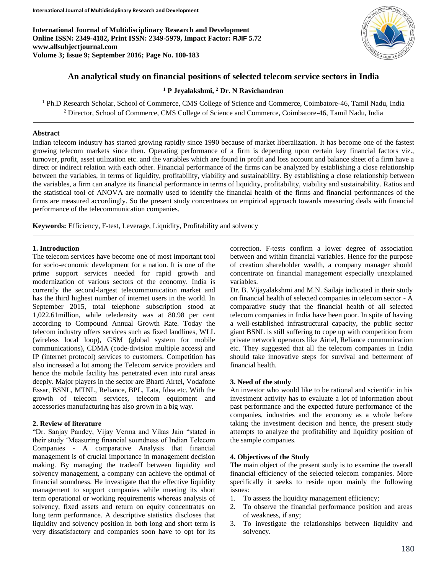**International Journal of Multidisciplinary Research and Development Online ISSN: 2349-4182, Print ISSN: 2349-5979, Impact Factor: RJIF 5.72 www.allsubjectjournal.com Volume 3; Issue 9; September 2016; Page No. 180-183**



# **An analytical study on financial positions of selected telecom service sectors in India**

# **<sup>1</sup> P Jeyalakshmi, <sup>2</sup> Dr. N Ravichandran**

<sup>1</sup> Ph.D Research Scholar, School of Commerce, CMS College of Science and Commerce, Coimbatore-46, Tamil Nadu, India <sup>2</sup> Director, School of Commerce, CMS College of Science and Commerce, Coimbatore-46, Tamil Nadu, India

### **Abstract**

Indian telecom industry has started growing rapidly since 1990 because of market liberalization. It has become one of the fastest growing telecom markets since then. Operating performance of a firm is depending upon certain key financial factors viz., turnover, profit, asset utilization etc. and the variables which are found in profit and loss account and balance sheet of a firm have a direct or indirect relation with each other. Financial performance of the firms can be analyzed by establishing a close relationship between the variables, in terms of liquidity, profitability, viability and sustainability. By establishing a close relationship between the variables, a firm can analyze its financial performance in terms of liquidity, profitability, viability and sustainability. Ratios and the statistical tool of ANOVA are normally used to identify the financial health of the firms and financial performances of the firms are measured accordingly. So the present study concentrates on empirical approach towards measuring deals with financial performance of the telecommunication companies.

**Keywords:** Efficiency, F-test, Leverage, Liquidity, Profitability and solvency

### **1. Introduction**

The telecom services have become one of most important tool for socio-economic development for a nation. It is one of the prime support services needed for rapid growth and modernization of various sectors of the economy. India is currently the second-largest telecommunication market and has the third highest number of internet users in the world. In September 2015, total telephone subscription stood at 1,022.61million, while teledensity was at 80.98 per cent according to Compound Annual Growth Rate. Today the telecom industry offers services such as fixed landlines, WLL (wireless local loop), GSM (global system for mobile communications), CDMA (code-division multiple access) and IP (internet protocol) services to customers. Competition has also increased a lot among the Telecom service providers and hence the mobile facility has penetrated even into rural areas deeply. Major players in the sector are Bharti Airtel, Vodafone Essar, BSNL, MTNL, Reliance, BPL, Tata, Idea etc. With the growth of telecom services, telecom equipment and accessories manufacturing has also grown in a big way.

### **2. Review of literature**

"Dr. Sanjay Pandey, Vijay Verma and Vikas Jain "stated in their study 'Measuring financial soundness of Indian Telecom Companies - A comparative Analysis that financial management is of crucial importance in management decision making. By managing the tradeoff between liquidity and solvency management, a company can achieve the optimal of financial soundness. He investigate that the effective liquidity management to support companies while meeting its short term operational or working requirements whereas analysis of solvency, fixed assets and return on equity concentrates on long term performance. A descriptive statistics discloses that liquidity and solvency position in both long and short term is very dissatisfactory and companies soon have to opt for its

correction. F-tests confirm a lower degree of association between and within financial variables. Hence for the purpose of creation shareholder wealth, a company manager should concentrate on financial management especially unexplained variables.

Dr. B. Vijayalakshmi and M.N. Sailaja indicated in their study on financial health of selected companies in telecom sector - A comparative study that the financial health of all selected telecom companies in India have been poor. In spite of having a well-established infrastructural capacity, the public sector giant BSNL is still suffering to cope up with competition from private network operators like Airtel, Reliance communication etc. They suggested that all the telecom companies in India should take innovative steps for survival and betterment of financial health.

#### **3. Need of the study**

An investor who would like to be rational and scientific in his investment activity has to evaluate a lot of information about past performance and the expected future performance of the companies, industries and the economy as a whole before taking the investment decision and hence, the present study attempts to analyze the profitability and liquidity position of the sample companies.

#### **4. Objectives of the Study**

The main object of the present study is to examine the overall financial efficiency of the selected telecom companies. More specifically it seeks to reside upon mainly the following issues:

- 1. To assess the liquidity management efficiency;
- 2. To observe the financial performance position and areas of weakness, if any;
- 3. To investigate the relationships between liquidity and solvency.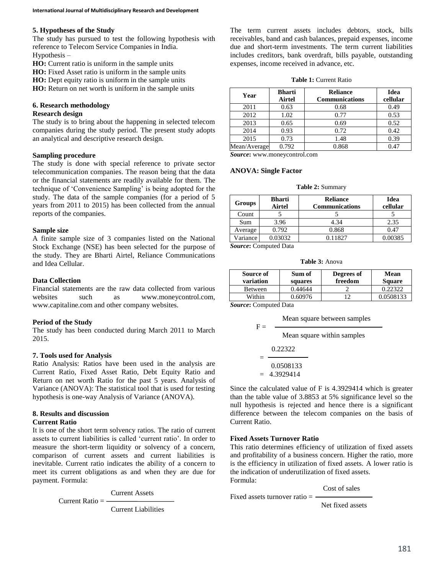# **5. Hypotheses of the Study**

The study has pursued to test the following hypothesis with reference to Telecom Service Companies in India. Hypothesis –

**HO:** Current ratio is uniform in the sample units

**HO:** Fixed Asset ratio is uniform in the sample units **HO:** Dept equity ratio is uniform in the sample units

**HO:** Return on net worth is uniform in the sample units

# **6. Research methodology**

# **Research design**

The study is to bring about the happening in selected telecom companies during the study period. The present study adopts an analytical and descriptive research design.

# **Sampling procedure**

The study is done with special reference to private sector telecommunication companies. The reason being that the data or the financial statements are readily available for them. The technique of 'Convenience Sampling' is being adopted for the study. The data of the sample companies (for a period of 5 years from 2011 to 2015) has been collected from the annual reports of the companies.

### **Sample size**

A finite sample size of 3 companies listed on the National Stock Exchange (NSE) has been selected for the purpose of the study. They are Bharti Airtel, Reliance Communications and Idea Cellular.

# **Data Collection**

Financial statements are the raw data collected from various websites such as www.moneycontrol.com, www.capitaline.com and other company websites.

### **Period of the Study**

The study has been conducted during March 2011 to March 2015.

### **7. Tools used for Analysis**

Ratio Analysis: Ratios have been used in the analysis are Current Ratio, Fixed Asset Ratio, Debt Equity Ratio and Return on net worth Ratio for the past 5 years. Analysis of Variance (ANOVA): The statistical tool that is used for testing hypothesis is one-way Analysis of Variance (ANOVA).

# **8. Results and discussion**

# **Current Ratio**

It is one of the short term solvency ratios. The ratio of current assets to current liabilities is called 'current ratio'. In order to measure the short-term liquidity or solvency of a concern, comparison of current assets and current liabilities is inevitable. Current ratio indicates the ability of a concern to meet its current obligations as and when they are due for payment. Formula:

Current Assets

Current Ratio  $=$  -

Current Liabilities

The term current assets includes debtors, stock, bills receivables, band and cash balances, prepaid expenses, income due and short-term investments. The term current liabilities includes creditors, bank overdraft, bills payable, outstanding expenses, income received in advance, etc.

### **Table 1:** Current Ratio

| Year         | <b>Bharti</b><br>Airtel | <b>Reliance</b><br><b>Communications</b> | Idea<br>cellular |
|--------------|-------------------------|------------------------------------------|------------------|
| 2011         | 0.63                    | 0.68                                     | 0.49             |
| 2012         | 1.02                    | 0.77                                     | 0.53             |
| 2013         | 0.65                    | 0.69                                     | 0.52             |
| 2014         | 0.93                    | 0.72                                     | 0.42             |
| 2015         | 0.73                    | 1.48                                     | 0.39             |
| Mean/Average | 0.792                   | 0.868                                    | 0.47             |

*Source***:** www.moneycontrol.com

### **ANOVA: Single Factor**

**Table 2:** Summary

| Groups   | <b>Bharti</b><br>Airtel | <b>Reliance</b><br><b>Communications</b> | Idea<br>cellular |
|----------|-------------------------|------------------------------------------|------------------|
| Count    |                         |                                          |                  |
| Sum      | 3.96                    | 4.34                                     | 2.35             |
| Average  | 0.792                   | 0.868                                    | 0.47             |
| Variance | 0.03032                 | 0.11827                                  | 0.00385          |
|          | Source: Computed Data   |                                          |                  |

**Table 3:** Anova

| Source of<br>variation | Sum of<br>squares | Degrees of<br>freedom | Mean<br><b>Square</b> |
|------------------------|-------------------|-----------------------|-----------------------|
| <b>Between</b>         | 0.44644           |                       | 0.22322               |
| Within                 | 0.60976           |                       | 0.0508133             |

*Source***:** Computed Data

 $F =$ 

Mean square between samples

Mean square within samples

$$
=\frac{0.22322}{0.0508133}
$$
  
= 4.3929414

Since the calculated value of F is 4.3929414 which is greater than the table value of 3.8853 at 5% significance level so the null hypothesis is rejected and hence there is a significant difference between the telecom companies on the basis of Current Ratio.

### **Fixed Assets Turnover Ratio**

This ratio determines efficiency of utilization of fixed assets and profitability of a business concern. Higher the ratio, more is the efficiency in utilization of fixed assets. A lower ratio is the indication of underutilization of fixed assets. Formula:

Cost of sales

Fixed assets turnover ratio  $=$  -

Net fixed assets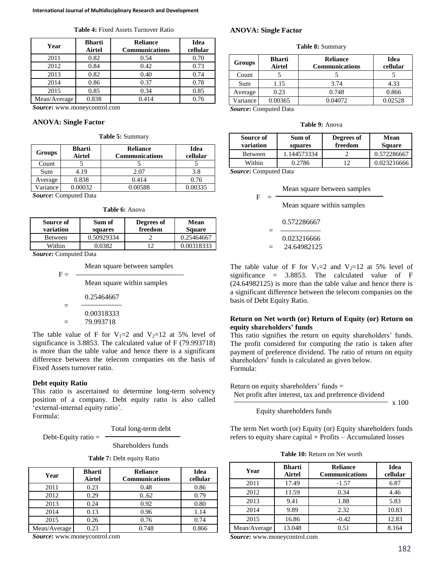| Year         | <b>Bharti</b><br>Airtel | <b>Reliance</b><br><b>Communications</b> | <b>Idea</b><br>cellular |
|--------------|-------------------------|------------------------------------------|-------------------------|
| 2011         | 0.82                    | 0.54                                     | 0.70                    |
| 2012         | 0.84                    | 0.42                                     | 0.73                    |
| 2013         | 0.82                    | 0.40                                     | 0.74                    |
| 2014         | 0.86                    | 0.37                                     | 0.78                    |
| 2015         | 0.85                    | 0.34                                     | 0.85                    |
| Mean/Average | 0.838                   | 0.414                                    | 0.76                    |

**Table 4:** Fixed Assets Turnover Ratio

*Source***:** www.moneycontrol.com

#### **ANOVA: Single Factor**

#### **Table 5:** Summary

| Groups           | <b>Bharti</b><br>Airtel | <b>Reliance</b><br><b>Communications</b> | Idea<br>cellular |
|------------------|-------------------------|------------------------------------------|------------------|
| Count            |                         |                                          |                  |
| Sum              | 4.19                    | 2.07                                     | 3.8              |
| Average          | 0.838                   | 0.414                                    | 0.76             |
| <i>V</i> ariance | 0.00032                 | 0.00588                                  | 0.00335          |

*Source***:** Computed Data

|  |  | <b>Table 6: Anova</b> |
|--|--|-----------------------|
|--|--|-----------------------|

| Source of<br>variation | Sum of<br>squares | Degrees of<br>freedom | Mean<br><b>Square</b> |
|------------------------|-------------------|-----------------------|-----------------------|
| <b>Between</b>         | 0.50929334        |                       | 0.25464667            |
| Within                 | ነ በ382            |                       | 0.00318333            |

*Source***:** Computed Data

|       | Mean square between samples |
|-------|-----------------------------|
| $F =$ |                             |

Mean square within samples  
= 
$$
\frac{0.25464667}{0.00318333}
$$
= 79.993718

The table value of F for  $V_1=2$  and  $V_2=12$  at 5% level of significance is 3.8853. The calculated value of F (79.993718) is more than the table value and hence there is a significant difference between the telecom companies on the basis of Fixed Assets turnover ratio.

### **Debt equity Ratio**

This ratio is ascertained to determine long-term solvency position of a company. Debt equity ratio is also called 'external-internal equity ratio'.

Formula:

Total long-term debt

Shareholders funds

|  |  |  | Table 7: Debt equity Ratio |  |
|--|--|--|----------------------------|--|
|--|--|--|----------------------------|--|

| Year         | <b>Bharti</b><br>Airtel | <b>Reliance</b><br><b>Communications</b> | Idea<br>cellular |
|--------------|-------------------------|------------------------------------------|------------------|
| 2011         | 0.23                    | 0.48                                     | 0.86             |
| 2012         | 0.29                    | 0.62                                     | 0.79             |
| 2013         | 0.24                    | 0.92                                     | 0.80             |
| 2014         | 0.13                    | 0.96                                     | 1.14             |
| 2015         | 0.26                    | 0.76                                     | 0.74             |
| Mean/Average | 0.23                    | 0.748                                    | 0.866            |

*Source***:** www.moneycontrol.com

Debt-Equity ratio  $=$   $\cdot$ 

# **ANOVA: Single Factor**

**Table 8:** Summary

| Groups   | Bharti<br>Airtel | <b>Reliance</b><br><b>Communications</b> | Idea<br>cellular |
|----------|------------------|------------------------------------------|------------------|
| Count    |                  |                                          |                  |
| Sum      | 1.15             | 3.74                                     | 4.33             |
| Average  | 0.23             | 0.748                                    | 0.866            |
| Variance | 0.00365          | 0.04072                                  | 0.02528          |

*Source***:** Computed Data

| Table 9: Anova |
|----------------|
|                |

| Source of<br>variation | Sum of<br>squares | Degrees of<br>freedom | Mean<br><b>Square</b> |
|------------------------|-------------------|-----------------------|-----------------------|
| Between                | 1.144573334       |                       | 0.572286667           |
| Within                 | 0.2786            |                       | 0.023216666           |

*Source***:** Computed Data

|   | Mean square between samples |
|---|-----------------------------|
| F |                             |

Mean square within samples

$$
= \frac{0.572286667}{0.023216666}
$$

$$
= 24.64982125
$$

The table value of F for  $V_1=2$  and  $V_2=12$  at 5% level of significance =  $3.8853$ . The calculated value of F (24.64982125) is more than the table value and hence there is a significant difference between the telecom companies on the basis of Debt Equity Ratio.

# **Return on Net worth (or) Return of Equity (or) Return on equity shareholders' funds**

This ratio signifies the return on equity shareholders' funds. The profit considered for computing the ratio is taken after payment of preference dividend. The ratio of return on equity shareholders' funds is calculated as given below. Formula:

Return on equity shareholders' funds = Net profit after interest, tax and preference dividend x 100

Equity shareholders funds

The term Net worth (or) Equity (or) Equity shareholders funds refers to equity share capital + Profits – Accumulated losses

**Table 10:** Return on Net worth

| Year         | <b>Bharti</b><br>Airtel | <b>Reliance</b><br><b>Communications</b> | Idea<br>cellular |
|--------------|-------------------------|------------------------------------------|------------------|
| 2011         | 17.49                   | $-1.57$                                  | 6.87             |
| 2012         | 11.59                   | 0.34                                     | 4.46             |
| 2013         | 9.41                    | 1.88                                     | 5.83             |
| 2014         | 9.89                    | 2.32                                     | 10.83            |
| 2015         | 16.86                   | $-0.42$                                  | 12.83            |
| Mean/Average | 13.048                  | 0.51                                     | 8.164            |

*Source***:** www.moneycontrol.com